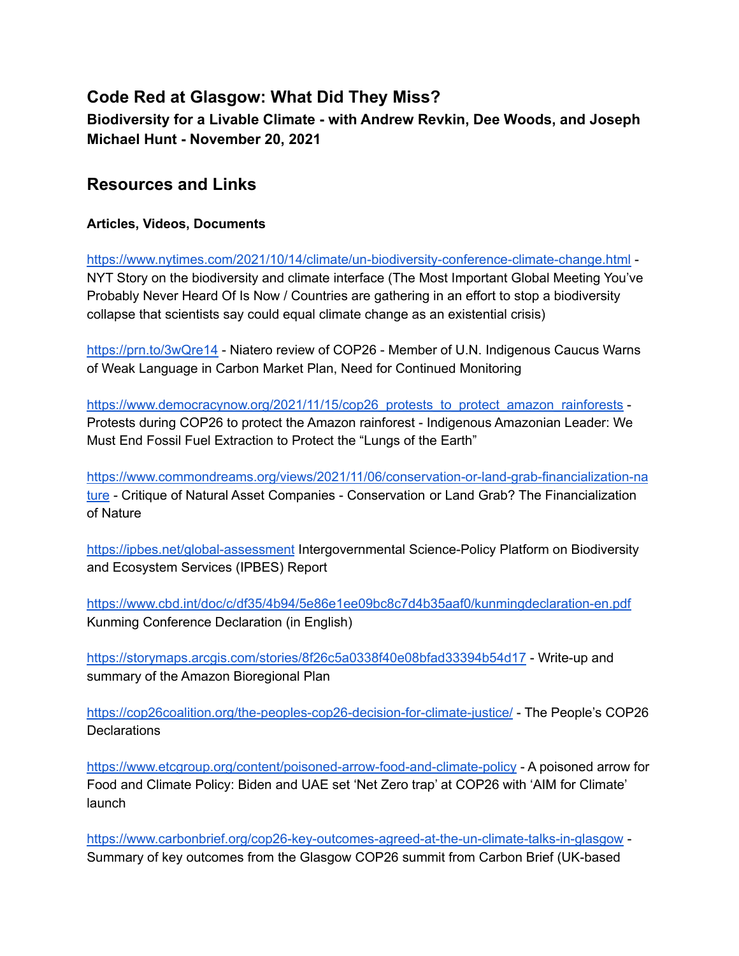## **Code Red at Glasgow: What Did They Miss? Biodiversity for a Livable Climate - with Andrew Revkin, Dee Woods, and Joseph Michael Hunt - November 20, 2021**

## **Resources and Links**

#### **Articles, Videos, Documents**

<https://www.nytimes.com/2021/10/14/climate/un-biodiversity-conference-climate-change.html> - NYT Story on the biodiversity and climate interface (The Most Important Global Meeting You've Probably Never Heard Of Is Now / Countries are gathering in an effort to stop a biodiversity collapse that scientists say could equal climate change as an existential crisis)

<https://prn.to/3wQre14> - Niatero review of COP26 - Member of U.N. Indigenous Caucus Warns of Weak Language in Carbon Market Plan, Need for Continued Monitoring

[https://www.democracynow.org/2021/11/15/cop26\\_protests\\_to\\_protect\\_amazon\\_rainforests](https://www.democracynow.org/2021/11/15/cop26_protests_to_protect_amazon_rainforests) -Protests during COP26 to protect the Amazon rainforest - Indigenous Amazonian Leader: We Must End Fossil Fuel Extraction to Protect the "Lungs of the Earth"

[https://www.commondreams.org/views/2021/11/06/conservation-or-land-grab-financialization-na](https://www.commondreams.org/views/2021/11/06/conservation-or-land-grab-financialization-nature) [ture](https://www.commondreams.org/views/2021/11/06/conservation-or-land-grab-financialization-nature) - Critique of Natural Asset Companies - Conservation or Land Grab? The Financialization of Nature

<https://ipbes.net/global-assessment> Intergovernmental Science-Policy Platform on Biodiversity and Ecosystem Services (IPBES) Report

<https://www.cbd.int/doc/c/df35/4b94/5e86e1ee09bc8c7d4b35aaf0/kunmingdeclaration-en.pdf> Kunming Conference Declaration (in English)

<https://storymaps.arcgis.com/stories/8f26c5a0338f40e08bfad33394b54d17> - Write-up and summary of the Amazon Bioregional Plan

<https://cop26coalition.org/the-peoples-cop26-decision-for-climate-justice/> - The People's COP26 **Declarations** 

<https://www.etcgroup.org/content/poisoned-arrow-food-and-climate-policy> - A poisoned arrow for Food and Climate Policy: Biden and UAE set 'Net Zero trap' at COP26 with 'AIM for Climate' launch

<https://www.carbonbrief.org/cop26-key-outcomes-agreed-at-the-un-climate-talks-in-glasgow> - Summary of key outcomes from the Glasgow COP26 summit from Carbon Brief (UK-based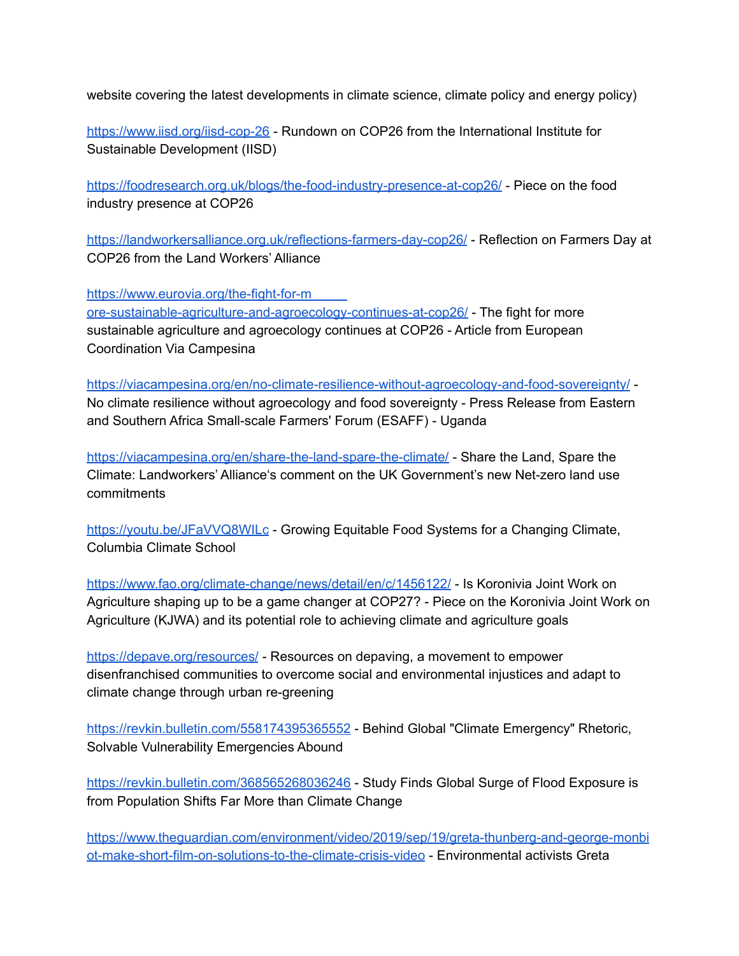website covering the latest developments in climate science, climate policy and energy policy)

<https://www.iisd.org/iisd-cop-26> - Rundown on COP26 from the International Institute for Sustainable Development (IISD)

<https://foodresearch.org.uk/blogs/the-food-industry-presence-at-cop26/> - Piece on the food industry presence at COP26

<https://landworkersalliance.org.uk/reflections-farmers-day-cop26/> - Reflection on Farmers Day at COP26 from the Land Workers' Alliance

[https://www.eurovia.org/the-fight-for-m](https://www.eurovia.org/the-fight-for-more-sustainable-agriculture-and-agroecology-continues-at-cop26/)

[ore-sustainable-agriculture-and-agroecology-continues-at-cop26/](https://www.eurovia.org/the-fight-for-more-sustainable-agriculture-and-agroecology-continues-at-cop26/) - The fight for more sustainable agriculture and agroecology continues at COP26 - Article from European Coordination Via Campesina

<https://viacampesina.org/en/no-climate-resilience-without-agroecology-and-food-sovereignty/> - No climate resilience without agroecology and food sovereignty - Press Release from Eastern and Southern Africa Small-scale Farmers' Forum (ESAFF) - Uganda

<https://viacampesina.org/en/share-the-land-spare-the-climate/> - Share the Land, Spare the Climate: Landworkers' Alliance's comment on the UK Government's new Net-zero land use commitments

<https://youtu.be/JFaVVQ8WILc> - Growing Equitable Food Systems for a Changing Climate, Columbia Climate School

<https://www.fao.org/climate-change/news/detail/en/c/1456122/> - Is Koronivia Joint Work on Agriculture shaping up to be a game changer at COP27? - Piece on the Koronivia Joint Work on Agriculture (KJWA) and its potential role to achieving climate and agriculture goals

<https://depave.org/resources/> - Resources on depaving, a movement to empower disenfranchised communities to overcome social and environmental injustices and adapt to climate change through urban re-greening

<https://revkin.bulletin.com/558174395365552> - Behind Global "Climate Emergency" Rhetoric, Solvable Vulnerability Emergencies Abound

<https://revkin.bulletin.com/368565268036246> - Study Finds Global Surge of Flood Exposure is from Population Shifts Far More than Climate Change

[https://www.theguardian.com/environment/video/2019/sep/19/greta-thunberg-and-george-monbi](https://www.theguardian.com/environment/video/2019/sep/19/greta-thunberg-and-george-monbiot-make-short-film-on-solutions-to-the-climate-crisis-video) [ot-make-short-film-on-solutions-to-the-climate-crisis-video](https://www.theguardian.com/environment/video/2019/sep/19/greta-thunberg-and-george-monbiot-make-short-film-on-solutions-to-the-climate-crisis-video) - Environmental activists Greta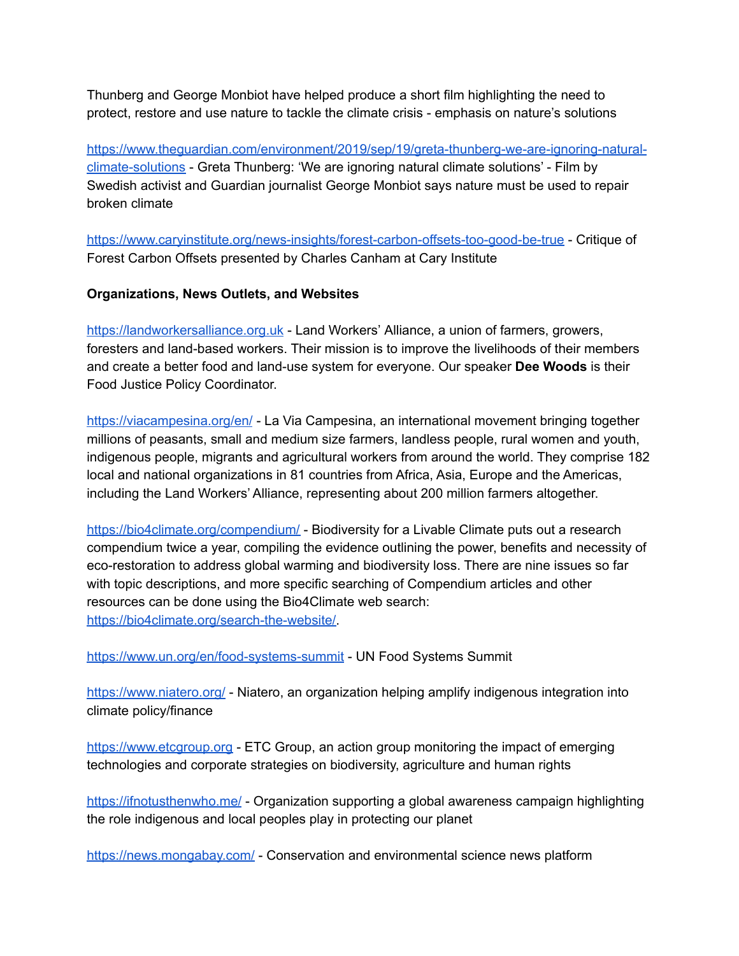Thunberg and George Monbiot have helped produce a short film highlighting the need to protect, restore and use nature to tackle the climate crisis - emphasis on nature's solutions

[https://www.theguardian.com/environment/2019/sep/19/greta-thunberg-we-are-ignoring-natural](https://www.theguardian.com/environment/2019/sep/19/greta-thunberg-we-are-ignoring-natural-climate-solutions)[climate-solutions](https://www.theguardian.com/environment/2019/sep/19/greta-thunberg-we-are-ignoring-natural-climate-solutions) - Greta Thunberg: 'We are ignoring natural climate solutions' - Film by Swedish activist and Guardian journalist George Monbiot says nature must be used to repair broken climate

<https://www.caryinstitute.org/news-insights/forest-carbon-offsets-too-good-be-true> - Critique of Forest Carbon Offsets presented by Charles Canham at Cary Institute

#### **Organizations, News Outlets, and Websites**

[https://landworkersalliance.org.uk](https://landworkersalliance.org.uk/reflections-farmers-day-cop26/) - Land Workers' Alliance, a union of farmers, growers, foresters and land-based workers. Their mission is to improve the livelihoods of their members and create a better food and land-use system for everyone. Our speaker **Dee Woods** is their Food Justice Policy Coordinator.

<https://viacampesina.org/en/> - La Via Campesina, an international movement bringing together millions of peasants, small and medium size farmers, landless people, rural women and youth, indigenous people, migrants and agricultural workers from around the world. They comprise 182 local and national organizations in 81 countries from Africa, Asia, Europe and the Americas, including the Land Workers' Alliance, representing about 200 million farmers altogether.

<https://bio4climate.org/compendium/> - Biodiversity for a Livable Climate puts out a research compendium twice a year, compiling the evidence outlining the power, benefits and necessity of eco-restoration to address global warming and biodiversity loss. There are nine issues so far with topic descriptions, and more specific searching of Compendium articles and other resources can be done using the Bio4Climate web search: [https://bio4climate.org/search-the-website/.](https://bio4climate.org/search-the-website/)

<https://www.un.org/en/food-systems-summit> - UN Food Systems Summit

<https://www.niatero.org/> - Niatero, an organization helping amplify indigenous integration into climate policy/finance

[https://www.etcgroup.org](https://www.etcgroup.org/) - ETC Group, an action group monitoring the impact of emerging technologies and corporate strategies on biodiversity, agriculture and human rights

<https://ifnotusthenwho.me/> - Organization supporting a global awareness campaign highlighting the role indigenous and local peoples play in protecting our planet

<https://news.mongabay.com/> - Conservation and environmental science news platform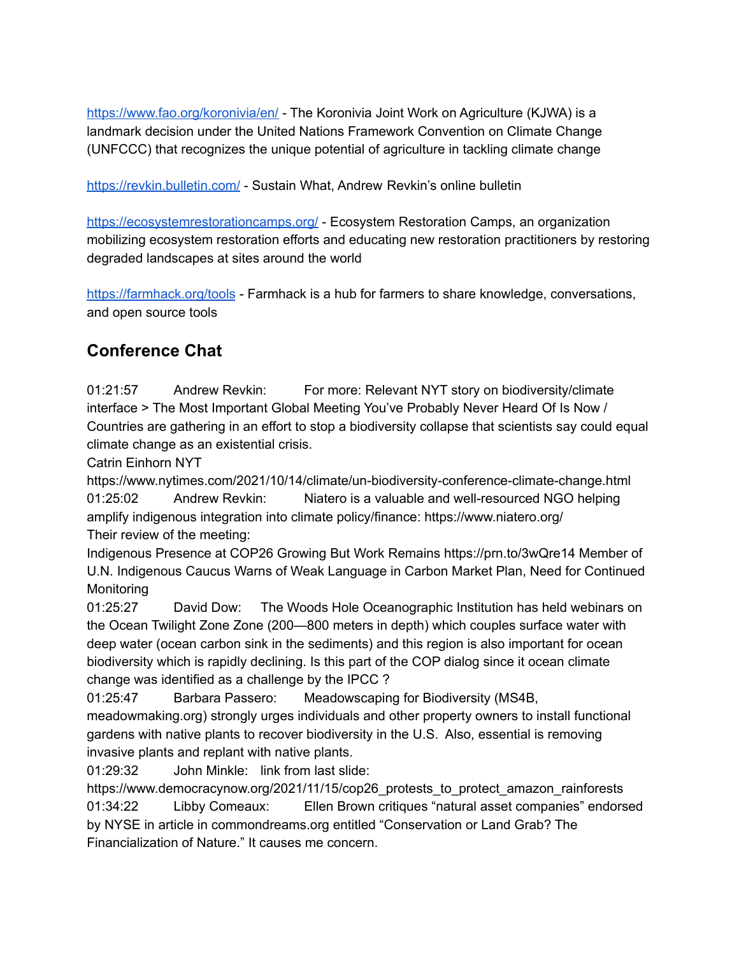<https://www.fao.org/koronivia/en/> - The Koronivia Joint Work on Agriculture (KJWA) is a landmark decision under the United Nations Framework Convention on Climate Change (UNFCCC) that recognizes the unique potential of agriculture in tackling climate change

<https://revkin.bulletin.com/> - Sustain What, Andrew Revkin's online bulletin

<https://ecosystemrestorationcamps.org/> - Ecosystem Restoration Camps, an organization mobilizing ecosystem restoration efforts and educating new restoration practitioners by restoring degraded landscapes at sites around the world

<https://farmhack.org/tools> - Farmhack is a hub for farmers to share knowledge, conversations, and open source tools

# **Conference Chat**

01:21:57 Andrew Revkin: For more: Relevant NYT story on biodiversity/climate interface > The Most Important Global Meeting You've Probably Never Heard Of Is Now / Countries are gathering in an effort to stop a biodiversity collapse that scientists say could equal climate change as an existential crisis.

Catrin Einhorn NYT

https://www.nytimes.com/2021/10/14/climate/un-biodiversity-conference-climate-change.html 01:25:02 Andrew Revkin: Niatero is a valuable and well-resourced NGO helping amplify indigenous integration into climate policy/finance: https://www.niatero.org/ Their review of the meeting:

Indigenous Presence at COP26 Growing But Work Remains https://prn.to/3wQre14 Member of U.N. Indigenous Caucus Warns of Weak Language in Carbon Market Plan, Need for Continued Monitoring

01:25:27 David Dow: The Woods Hole Oceanographic Institution has held webinars on the Ocean Twilight Zone Zone (200—800 meters in depth) which couples surface water with deep water (ocean carbon sink in the sediments) and this region is also important for ocean biodiversity which is rapidly declining. Is this part of the COP dialog since it ocean climate change was identified as a challenge by the IPCC ?

01:25:47 Barbara Passero: Meadowscaping for Biodiversity (MS4B,

meadowmaking.org) strongly urges individuals and other property owners to install functional gardens with native plants to recover biodiversity in the U.S. Also, essential is removing invasive plants and replant with native plants.

01:29:32 John Minkle: link from last slide:

https://www.democracynow.org/2021/11/15/cop26\_protests\_to\_protect\_amazon\_rainforests 01:34:22 Libby Comeaux: Ellen Brown critiques "natural asset companies" endorsed by NYSE in article in commondreams.org entitled "Conservation or Land Grab? The Financialization of Nature." It causes me concern.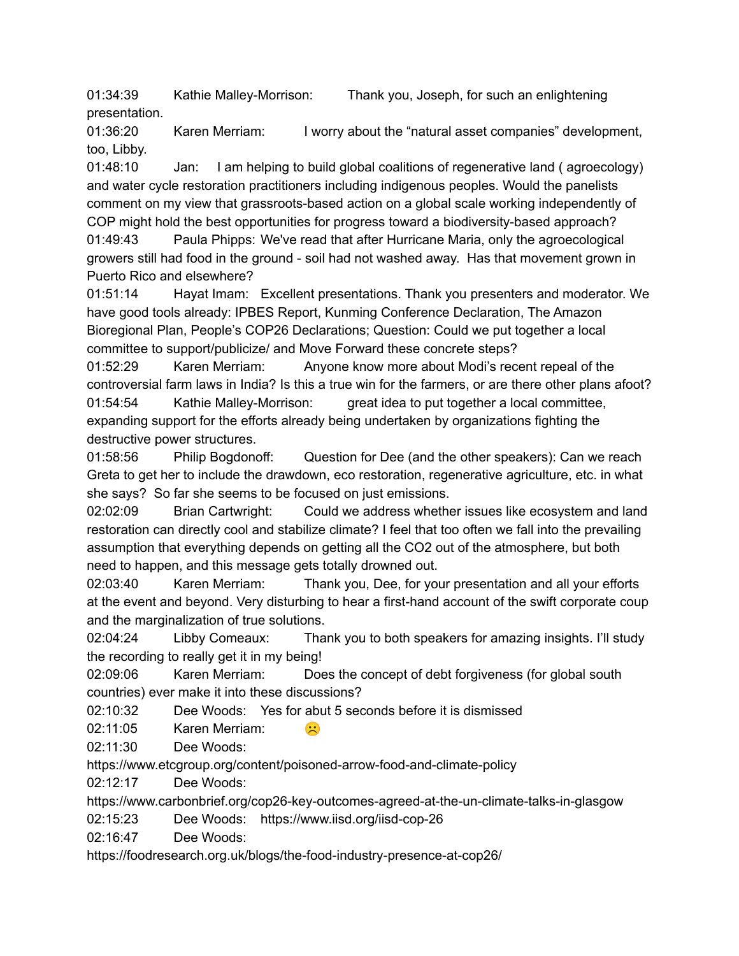01:34:39 Kathie Malley-Morrison: Thank you, Joseph, for such an enlightening presentation.

01:36:20 Karen Merriam: I worry about the "natural asset companies" development, too, Libby.

01:48:10 Jan: I am helping to build global coalitions of regenerative land ( agroecology) and water cycle restoration practitioners including indigenous peoples. Would the panelists comment on my view that grassroots-based action on a global scale working independently of COP might hold the best opportunities for progress toward a biodiversity-based approach?

01:49:43 Paula Phipps: We've read that after Hurricane Maria, only the agroecological growers still had food in the ground - soil had not washed away. Has that movement grown in Puerto Rico and elsewhere?

01:51:14 Hayat Imam: Excellent presentations. Thank you presenters and moderator. We have good tools already: IPBES Report, Kunming Conference Declaration, The Amazon Bioregional Plan, People's COP26 Declarations; Question: Could we put together a local committee to support/publicize/ and Move Forward these concrete steps?

01:52:29 Karen Merriam: Anyone know more about Modi's recent repeal of the controversial farm laws in India? Is this a true win for the farmers, or are there other plans afoot? 01:54:54 Kathie Malley-Morrison: great idea to put together a local committee, expanding support for the efforts already being undertaken by organizations fighting the destructive power structures.

01:58:56 Philip Bogdonoff: Question for Dee (and the other speakers): Can we reach Greta to get her to include the drawdown, eco restoration, regenerative agriculture, etc. in what she says? So far she seems to be focused on just emissions.

02:02:09 Brian Cartwright: Could we address whether issues like ecosystem and land restoration can directly cool and stabilize climate? I feel that too often we fall into the prevailing assumption that everything depends on getting all the CO2 out of the atmosphere, but both need to happen, and this message gets totally drowned out.

02:03:40 Karen Merriam: Thank you, Dee, for your presentation and all your efforts at the event and beyond. Very disturbing to hear a first-hand account of the swift corporate coup and the marginalization of true solutions.

02:04:24 Libby Comeaux: Thank you to both speakers for amazing insights. I'll study the recording to really get it in my being!

02:09:06 Karen Merriam: Does the concept of debt forgiveness (for global south countries) ever make it into these discussions?

02:10:32 Dee Woods: Yes for abut 5 seconds before it is dismissed

02:11:05 Karen Merriam:  $\mathbb{R}^3$ 

02:11:30 Dee Woods:

https://www.etcgroup.org/content/poisoned-arrow-food-and-climate-policy

02:12:17 Dee Woods:

https://www.carbonbrief.org/cop26-key-outcomes-agreed-at-the-un-climate-talks-in-glasgow

02:15:23 Dee Woods: https://www.iisd.org/iisd-cop-26

02:16:47 Dee Woods:

https://foodresearch.org.uk/blogs/the-food-industry-presence-at-cop26/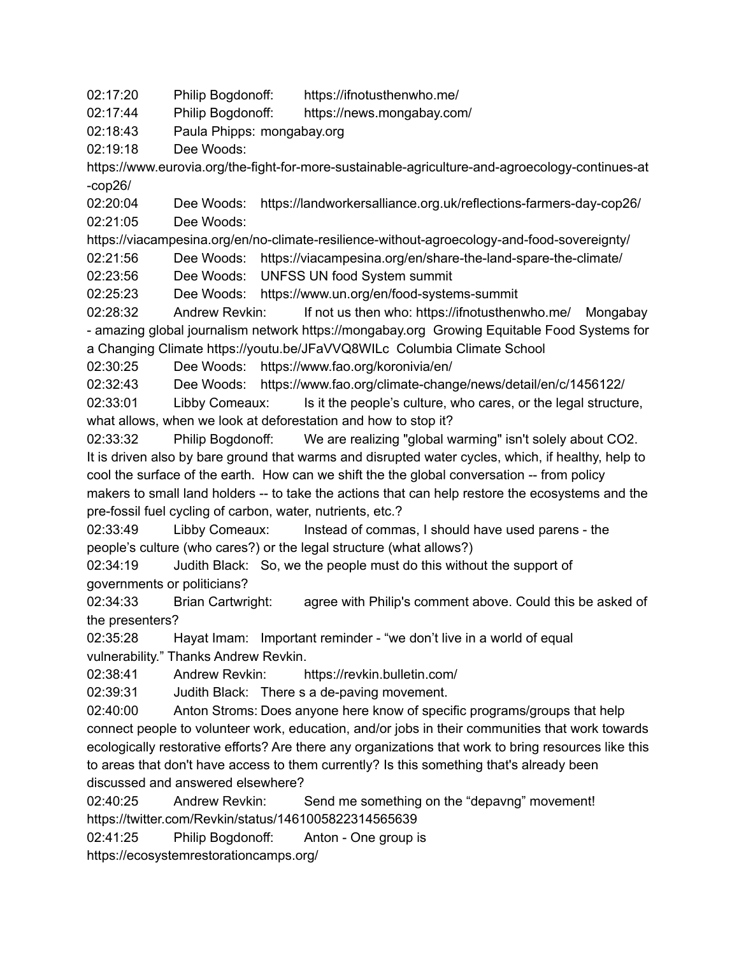02:17:20 Philip Bogdonoff: https://ifnotusthenwho.me/

02:17:44 Philip Bogdonoff: https://news.mongabay.com/

02:18:43 Paula Phipps: mongabay.org

02:19:18 Dee Woods:

https://www.eurovia.org/the-fight-for-more-sustainable-agriculture-and-agroecology-continues-at -cop26/

02:20:04 Dee Woods: https://landworkersalliance.org.uk/reflections-farmers-day-cop26/ 02:21:05 Dee Woods:

https://viacampesina.org/en/no-climate-resilience-without-agroecology-and-food-sovereignty/

02:21:56 Dee Woods: https://viacampesina.org/en/share-the-land-spare-the-climate/

02:23:56 Dee Woods: UNFSS UN food System summit

02:25:23 Dee Woods: https://www.un.org/en/food-systems-summit

02:28:32 Andrew Revkin: If not us then who: https://ifnotusthenwho.me/ Mongabay - amazing global journalism network https://mongabay.org Growing Equitable Food Systems for a Changing Climate https://youtu.be/JFaVVQ8WILc Columbia Climate School

02:30:25 Dee Woods: https://www.fao.org/koronivia/en/

02:32:43 Dee Woods: https://www.fao.org/climate-change/news/detail/en/c/1456122/

02:33:01 Libby Comeaux: Is it the people's culture, who cares, or the legal structure, what allows, when we look at deforestation and how to stop it?

02:33:32 Philip Bogdonoff: We are realizing "global warming" isn't solely about CO2. It is driven also by bare ground that warms and disrupted water cycles, which, if healthy, help to cool the surface of the earth. How can we shift the the global conversation -- from policy makers to small land holders -- to take the actions that can help restore the ecosystems and the pre-fossil fuel cycling of carbon, water, nutrients, etc.?

02:33:49 Libby Comeaux: Instead of commas, I should have used parens - the people's culture (who cares?) or the legal structure (what allows?)

02:34:19 Judith Black: So, we the people must do this without the support of governments or politicians?

02:34:33 Brian Cartwright: agree with Philip's comment above. Could this be asked of the presenters?

02:35:28 Hayat Imam: Important reminder - "we don't live in a world of equal vulnerability." Thanks Andrew Revkin.

02:38:41 Andrew Revkin: https://revkin.bulletin.com/

02:39:31 Judith Black: There s a de-paving movement.

02:40:00 Anton Stroms: Does anyone here know of specific programs/groups that help connect people to volunteer work, education, and/or jobs in their communities that work towards ecologically restorative efforts? Are there any organizations that work to bring resources like this to areas that don't have access to them currently? Is this something that's already been discussed and answered elsewhere?

02:40:25 Andrew Revkin: Send me something on the "depavng" movement! https://twitter.com/Revkin/status/1461005822314565639

02:41:25 Philip Bogdonoff: Anton - One group is

https://ecosystemrestorationcamps.org/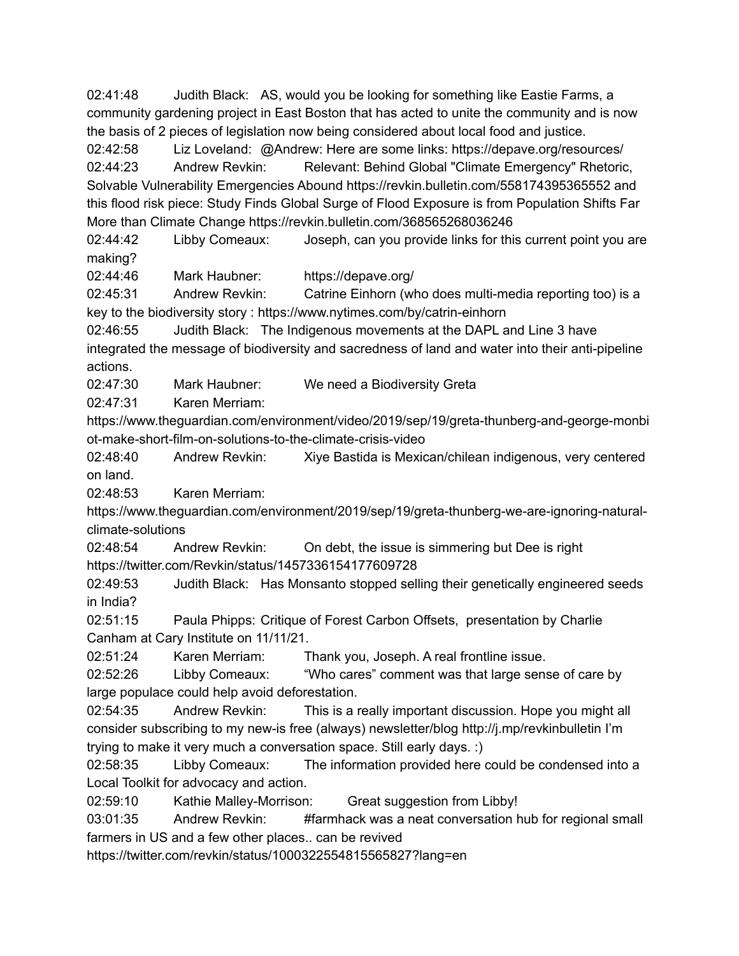02:41:48 Judith Black: AS, would you be looking for something like Eastie Farms, a community gardening project in East Boston that has acted to unite the community and is now the basis of 2 pieces of legislation now being considered about local food and justice.

02:42:58 Liz Loveland: @Andrew: Here are some links: https://depave.org/resources/ 02:44:23 Andrew Revkin: Relevant: Behind Global "Climate Emergency" Rhetoric, Solvable Vulnerability Emergencies Abound https://revkin.bulletin.com/558174395365552 and this flood risk piece: Study Finds Global Surge of Flood Exposure is from Population Shifts Far More than Climate Change https://revkin.bulletin.com/368565268036246

02:44:42 Libby Comeaux: Joseph, can you provide links for this current point you are making?

02:44:46 Mark Haubner: https://depave.org/

02:45:31 Andrew Revkin: Catrine Einhorn (who does multi-media reporting too) is a key to the biodiversity story : https://www.nytimes.com/by/catrin-einhorn

02:46:55 Judith Black: The Indigenous movements at the DAPL and Line 3 have integrated the message of biodiversity and sacredness of land and water into their anti-pipeline actions.

02:47:30 Mark Haubner: We need a Biodiversity Greta

02:47:31 Karen Merriam:

https://www.theguardian.com/environment/video/2019/sep/19/greta-thunberg-and-george-monbi ot-make-short-film-on-solutions-to-the-climate-crisis-video

02:48:40 Andrew Revkin: Xiye Bastida is Mexican/chilean indigenous, very centered on land.

02:48:53 Karen Merriam:

https://www.theguardian.com/environment/2019/sep/19/greta-thunberg-we-are-ignoring-naturalclimate-solutions

02:48:54 Andrew Revkin: On debt, the issue is simmering but Dee is right https://twitter.com/Revkin/status/1457336154177609728

02:49:53 Judith Black: Has Monsanto stopped selling their genetically engineered seeds in India?

02:51:15 Paula Phipps: Critique of Forest Carbon Offsets, presentation by Charlie Canham at Cary Institute on 11/11/21.

02:51:24 Karen Merriam: Thank you, Joseph. A real frontline issue.

02:52:26 Libby Comeaux: "Who cares" comment was that large sense of care by large populace could help avoid deforestation.

02:54:35 Andrew Revkin: This is a really important discussion. Hope you might all consider subscribing to my new-is free (always) newsletter/blog http://j.mp/revkinbulletin I'm trying to make it very much a conversation space. Still early days. :)

02:58:35 Libby Comeaux: The information provided here could be condensed into a Local Toolkit for advocacy and action.

02:59:10 Kathie Malley-Morrison: Great suggestion from Libby!

03:01:35 Andrew Revkin: #farmhack was a neat conversation hub for regional small farmers in US and a few other places.. can be revived

https://twitter.com/revkin/status/1000322554815565827?lang=en